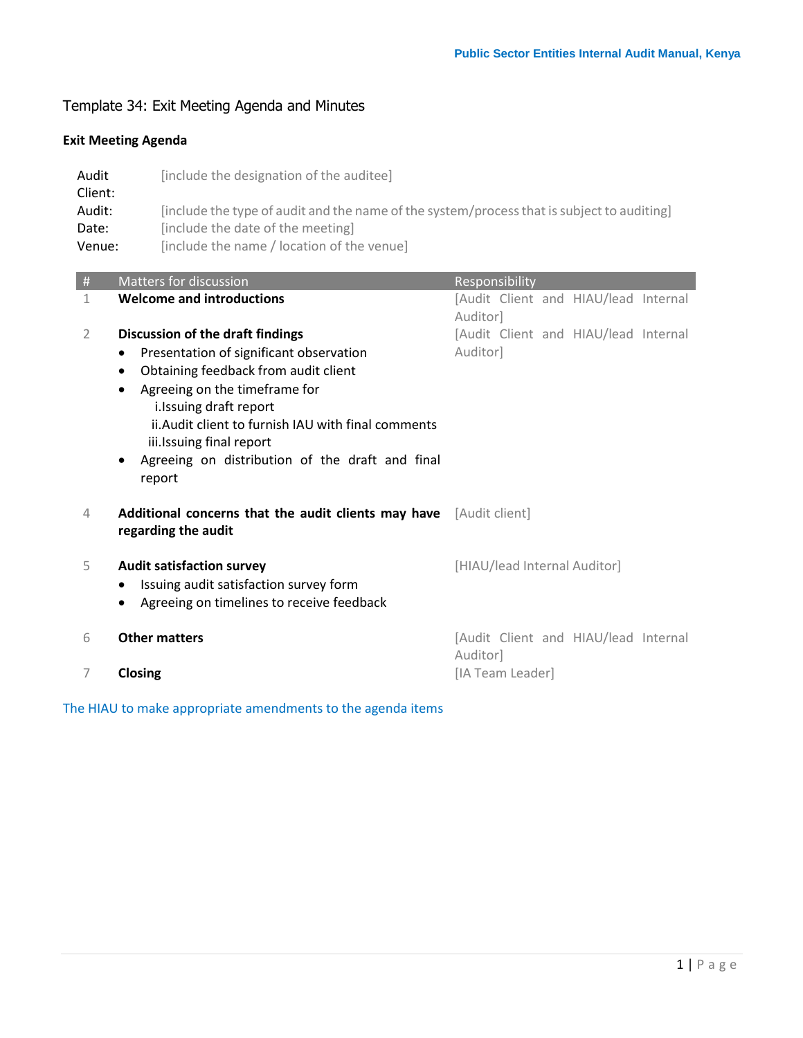# Template 34: Exit Meeting Agenda and Minutes

## **Exit Meeting Agenda**

| Audit<br>Client: | [include the designation of the auditee]                                                   |
|------------------|--------------------------------------------------------------------------------------------|
| Audit:           | [include the type of audit and the name of the system/process that is subject to auditing] |
| Date:            | [include the date of the meeting]                                                          |
| Venue:           | [include the name / location of the venue]                                                 |

| $\#$ | <b>Matters for discussion</b>                                                   | Responsibility                                   |
|------|---------------------------------------------------------------------------------|--------------------------------------------------|
| 1    | <b>Welcome and introductions</b>                                                | [Audit Client and HIAU/lead Internal<br>Auditor] |
| 2    | Discussion of the draft findings                                                | [Audit Client and HIAU/lead Internal             |
|      | Presentation of significant observation                                         | Auditor]                                         |
|      | Obtaining feedback from audit client<br>$\bullet$                               |                                                  |
|      | Agreeing on the timeframe for<br>$\bullet$                                      |                                                  |
|      | i. Issuing draft report                                                         |                                                  |
|      | ii. Audit client to furnish IAU with final comments<br>iii.Issuing final report |                                                  |
|      | Agreeing on distribution of the draft and final<br>$\bullet$                    |                                                  |
|      | report                                                                          |                                                  |
|      |                                                                                 |                                                  |
| 4    | Additional concerns that the audit clients may have [Audit client]              |                                                  |
|      | regarding the audit                                                             |                                                  |
| 5    | <b>Audit satisfaction survey</b>                                                | [HIAU/lead Internal Auditor]                     |
|      | Issuing audit satisfaction survey form                                          |                                                  |
|      | Agreeing on timelines to receive feedback                                       |                                                  |
|      |                                                                                 |                                                  |
| 6    | <b>Other matters</b>                                                            | [Audit Client and HIAU/lead Internal             |
|      |                                                                                 | Auditor]                                         |
| 7    | Closing                                                                         | [IA Team Leader]                                 |

The HIAU to make appropriate amendments to the agenda items